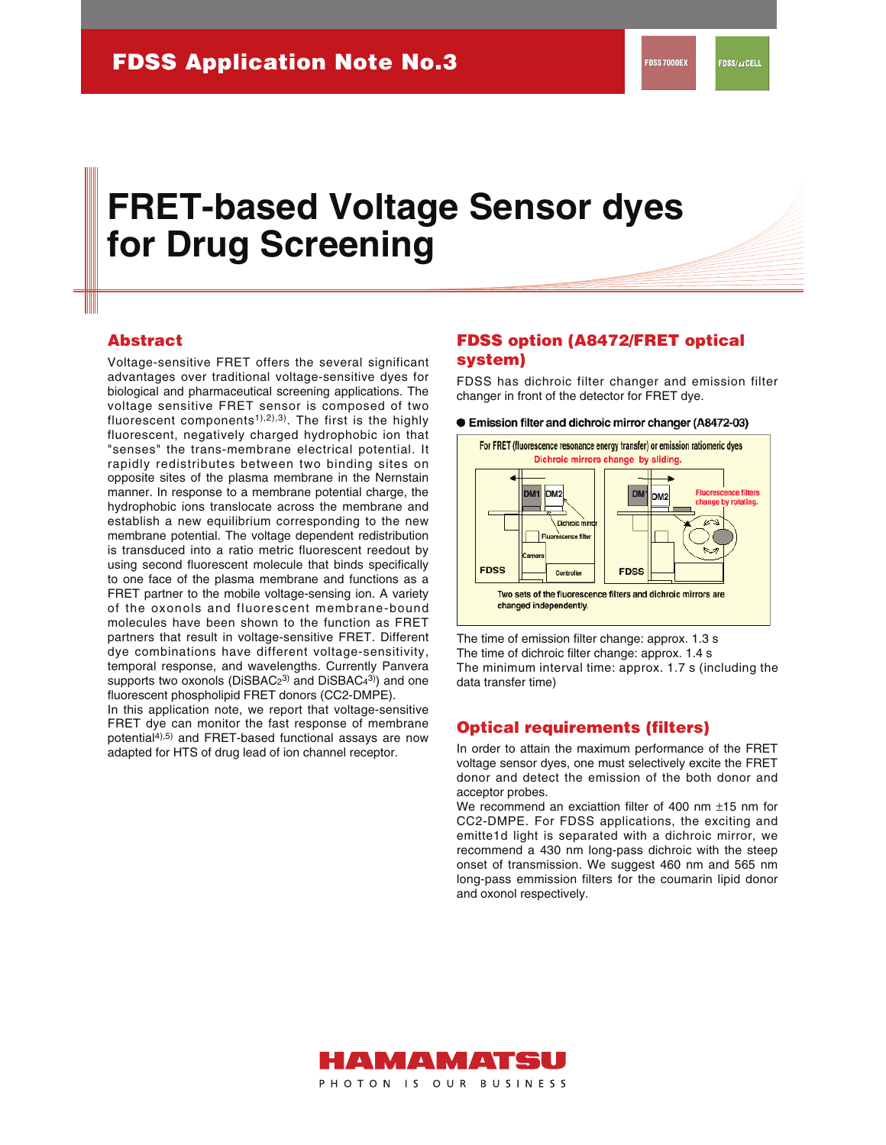$FDSS/\mu$ cell

# **FRET-based Voltage Sensor dyes for Drug Screening**

## **Abstract**

Voltage-sensitive FRET offers the several significant advantages over traditional voltage-sensitive dyes for biological and pharmaceutical screening applications. The voltage sensitive FRET sensor is composed of two fluorescent components<sup>1),2),3)</sup>. The first is the highly fluorescent, negatively charged hydrophobic ion that "senses" the trans-membrane electrical potential. It rapidly redistributes between two binding sites on opposite sites of the plasma membrane in the Nernstain manner. In response to a membrane potential charge, the hydrophobic ions translocate across the membrane and establish a new equilibrium corresponding to the new membrane potential. The voltage dependent redistribution is transduced into a ratio metric fluorescent reedout by using second fluorescent molecule that binds specifically to one face of the plasma membrane and functions as a FRET partner to the mobile voltage-sensing ion. A variety of the oxonols and fluorescent membrane-bound molecules have been shown to the function as FRET partners that result in voltage-sensitive FRET. Different dye combinations have different voltage-sensitivity, temporal response, and wavelengths. Currently Panvera supports two oxonols ( $D$ iSBAC $2^{3}$ ) and  $D$ iSBAC $4^{3}$ ) and one fluorescent phospholipid FRET donors (CC2-DMPE).

In this application note, we report that voltage-sensitive FRET dye can monitor the fast response of membrane potential<sup>4),5)</sup> and FRET-based functional assays are now adapted for HTS of drug lead of ion channel receptor.

# **FDSS option (A8472/FRET optical system)**

FDSS has dichroic filter changer and emission filter changer in front of the detector for FRET dye.

#### ● Emission filter and dichroic mirror changer (A8472-03)



The time of emission filter change: approx. 1.3 s The time of dichroic filter change: approx. 1.4 s The minimum interval time: approx. 1.7 s (including the data transfer time)

## **Optical requirements (filters)**

In order to attain the maximum performance of the FRET voltage sensor dyes, one must selectively excite the FRET donor and detect the emission of the both donor and acceptor probes.

We recommend an exciattion filter of 400 nm ±15 nm for CC2-DMPE. For FDSS applications, the exciting and emitte1d light is separated with a dichroic mirror, we recommend a 430 nm long-pass dichroic with the steep onset of transmission. We suggest 460 nm and 565 nm long-pass emmission filters for the coumarin lipid donor and oxonol respectively.